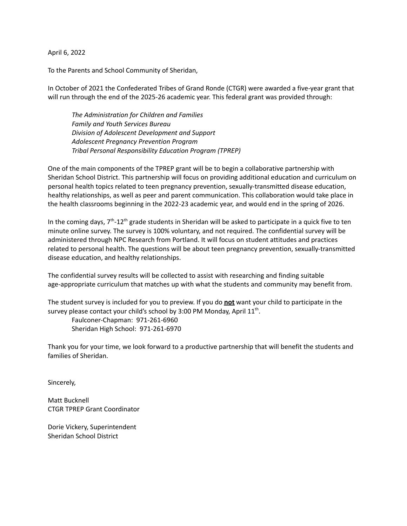April 6, 2022

To the Parents and School Community of Sheridan,

In October of 2021 the Confederated Tribes of Grand Ronde (CTGR) were awarded a five-year grant that will run through the end of the 2025-26 academic year. This federal grant was provided through:

*The Administration for Children and Families Family and Youth Services Bureau Division of Adolescent Development and Support Adolescent Pregnancy Prevention Program Tribal Personal Responsibility Education Program (TPREP)*

One of the main components of the TPREP grant will be to begin a collaborative partnership with Sheridan School District. This partnership will focus on providing additional education and curriculum on personal health topics related to teen pregnancy prevention, sexually-transmitted disease education, healthy relationships, as well as peer and parent communication. This collaboration would take place in the health classrooms beginning in the 2022-23 academic year, and would end in the spring of 2026.

In the coming days, 7<sup>th</sup>-12<sup>th</sup> grade students in Sheridan will be asked to participate in a quick five to ten minute online survey. The survey is 100% voluntary, and not required. The confidential survey will be administered through NPC Research from Portland. It will focus on student attitudes and practices related to personal health. The questions will be about teen pregnancy prevention, sexually-transmitted disease education, and healthy relationships.

The confidential survey results will be collected to assist with researching and finding suitable age-appropriate curriculum that matches up with what the students and community may benefit from.

The student survey is included for you to preview. If you do **not** want your child to participate in the survey please contact your child's school by 3:00 PM Monday, April  $11^{\text{th}}$ .

Faulconer-Chapman: 971-261-6960 Sheridan High School: 971-261-6970

Thank you for your time, we look forward to a productive partnership that will benefit the students and families of Sheridan.

Sincerely,

Matt Bucknell CTGR TPREP Grant Coordinator

Dorie Vickery, Superintendent Sheridan School District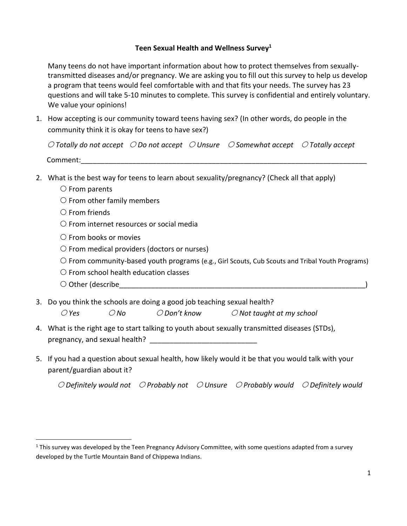## **Teen Sexual Health and Wellness Survey<sup>1</sup>**

Many teens do not have important information about how to protect themselves from sexuallytransmitted diseases and/or pregnancy. We are asking you to fill out this survey to help us develop a program that teens would feel comfortable with and that fits your needs. The survey has 23 questions and will take 5-10 minutes to complete. This survey is confidential and entirely voluntary. We value your opinions!

1. How accepting is our community toward teens having sex? (In other words, do people in the community think it is okay for teens to have sex?)

 *Totally do not accept Do not accept Unsure Somewhat accept Totally accept*  ${\sf Comment:}$ 

- 2. What is the best way for teens to learn about sexuality/pregnancy? (Check all that apply)
	- $\circ$  From parents
	- $\bigcirc$  From other family members
	- $\bigcirc$  From friends
	- $\bigcirc$  From internet resources or social media
	- $\circlearrowright$  From books or movies
	- $\circ$  From medical providers (doctors or nurses)
	- $\circ$  From community-based youth programs (e.g., Girl Scouts, Cub Scouts and Tribal Youth Programs)
	- $\bigcirc$  From school health education classes
	- $\bigcirc$  Other (describe  $\bigcirc$
- 3. Do you think the schools are doing a good job teaching sexual health? *Yes No Don't know Not taught at my school*
- 4. What is the right age to start talking to youth about sexually transmitted diseases (STDs), pregnancy, and sexual health? **Example 20**
- 5. If you had a question about sexual health, how likely would it be that you would talk with your parent/guardian about it?

 *Definitely would not Probably not Unsure Probably would Definitely would*

 $1$  This survey was developed by the Teen Pregnancy Advisory Committee, with some questions adapted from a survey developed by the Turtle Mountain Band of Chippewa Indians.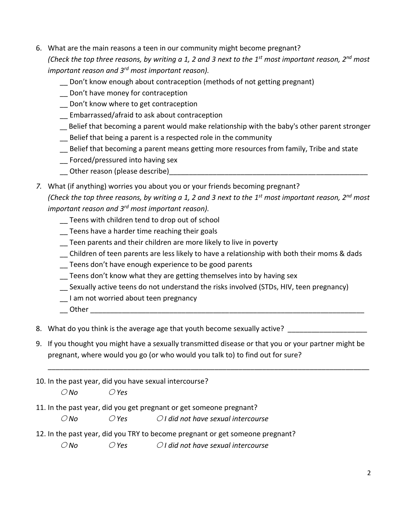- 6. What are the main reasons a teen in our community might become pregnant? *(Check the top three reasons, by writing a 1, 2 and 3 next to the 1 st most important reason, 2nd most important reason and 3rd most important reason).*
	- \_\_ Don't know enough about contraception (methods of not getting pregnant)
	- \_\_ Don't have money for contraception
	- Don't know where to get contraception
	- \_\_ Embarrassed/afraid to ask about contraception
	- \_\_ Belief that becoming a parent would make relationship with the baby's other parent stronger
	- \_\_ Belief that being a parent is a respected role in the community
	- \_\_ Belief that becoming a parent means getting more resources from family, Tribe and state
	- \_\_ Forced/pressured into having sex
	- \_\_ Other reason (please describe)\_\_\_\_\_\_\_\_\_\_\_\_\_\_\_\_\_\_\_\_\_\_\_\_\_\_\_\_\_\_\_\_\_\_\_\_\_\_\_\_\_\_\_\_\_\_\_\_\_\_
- *7.* What (if anything) worries you about you or your friends becoming pregnant? *(Check the top three reasons, by writing a 1, 2 and 3 next to the 1 st most important reason, 2nd most important reason and 3rd most important reason).*
	- \_\_ Teens with children tend to drop out of school
	- Teens have a harder time reaching their goals
	- \_\_ Teen parents and their children are more likely to live in poverty
	- \_\_ Children of teen parents are less likely to have a relationship with both their moms & dads
	- \_\_ Teens don't have enough experience to be good parents
	- \_\_ Teens don't know what they are getting themselves into by having sex
	- \_\_ Sexually active teens do not understand the risks involved (STDs, HIV, teen pregnancy)
	- \_\_ I am not worried about teen pregnancy
	- \_\_ Other \_\_\_\_\_\_\_\_\_\_\_\_\_\_\_\_\_\_\_\_\_\_\_\_\_\_\_\_\_\_\_\_\_\_\_\_\_\_\_\_\_\_\_\_\_\_\_\_\_\_\_\_\_\_\_\_\_\_\_\_\_\_\_\_\_\_\_\_\_

8. What do you think is the average age that youth become sexually active? \_\_\_\_\_\_\_\_\_\_\_

9. If you thought you might have a sexually transmitted disease or that you or your partner might be pregnant, where would you go (or who would you talk to) to find out for sure?

\_\_\_\_\_\_\_\_\_\_\_\_\_\_\_\_\_\_\_\_\_\_\_\_\_\_\_\_\_\_\_\_\_\_\_\_\_\_\_\_\_\_\_\_\_\_\_\_\_\_\_\_\_\_\_\_\_\_\_\_\_\_\_\_\_\_\_\_\_\_\_\_\_\_\_\_\_\_\_\_\_

10. In the past year, did you have sexual intercourse?

*No Yes*

11. In the past year, did you get pregnant or get someone pregnant?

*No Yes I did not have sexual intercourse* 

12. In the past year, did you TRY to become pregnant or get someone pregnant?

*No Yes I did not have sexual intercourse*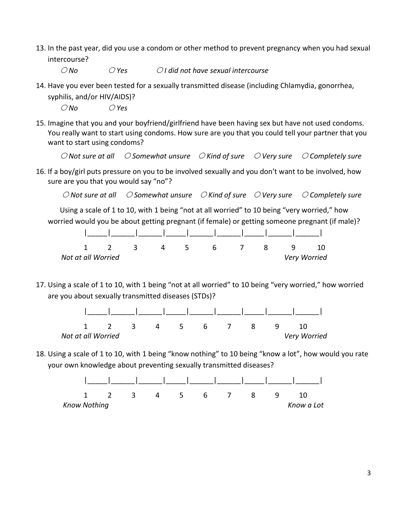13. In the past year, did you use a condom or other method to prevent pregnancy when you had sexual intercourse?

*No Yes I did not have sexual intercourse* 

14. Have you ever been tested for a sexually transmitted disease (including Chlamydia, gonorrhea,

syphilis, and/or HIV/AIDS)? *No Yes*

15. Imagine that you and your boyfriend/girlfriend have been having sex but have not used condoms. You really want to start using condoms. How sure are you that you could tell your partner that you want to start using condoms?

*Not sure at all Somewhat unsure Kind of sure Very sure Completely sure*

16. If a boy/girl puts pressure on you to be involved sexually and you don't want to be involved, how sure are you that you would say "no"?

*Not sure at all Somewhat unsure Kind of sure Very sure Completely sure*

Using a scale of 1 to 10, with 1 being "not at all worried" to 10 being "very worried," how worried would you be about getting pregnant (if female) or getting someone pregnant (if male)?

|                    |  | $\overline{2}$ | $\mathbf{R}$ | $-5$ | 6 <sup>6</sup> | - 8 | - Q |              |
|--------------------|--|----------------|--------------|------|----------------|-----|-----|--------------|
| Not at all Worried |  |                |              |      |                |     |     | Very Worried |

17. Using a scale of 1 to 10, with 1 being "not at all worried" to 10 being "very worried," how worried are you about sexually transmitted diseases (STDs)?



18. Using a scale of 1 to 10, with 1 being "know nothing" to 10 being "know a lot", how would you rate your own knowledge about preventing sexually transmitted diseases?

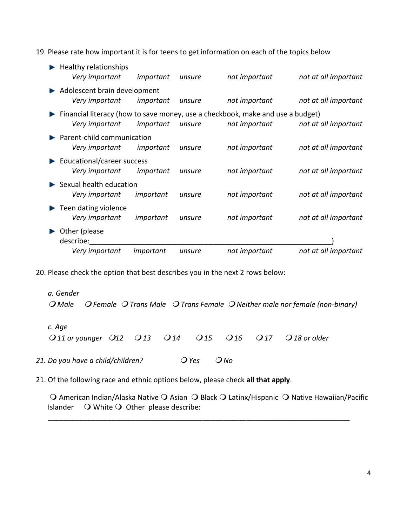19. Please rate how important it is for teens to get information on each of the topics below

| Very important                                 | important | unsure | not important                                                                                   | not at all important |
|------------------------------------------------|-----------|--------|-------------------------------------------------------------------------------------------------|----------------------|
| Other (please<br>describe:                     |           |        |                                                                                                 |                      |
| Teen dating violence<br>Very important         | important | unsure | not important                                                                                   | not at all important |
| Sexual health education<br>Very important      | important | unsure | not important                                                                                   | not at all important |
| Educational/career success<br>Very important   | important | unsure | not important                                                                                   | not at all important |
| Parent-child communication<br>Very important   | important | unsure | not important                                                                                   | not at all important |
| Very important                                 | important | unsure | Financial literacy (how to save money, use a checkbook, make and use a budget)<br>not important | not at all important |
| Adolescent brain development<br>Very important | important | unsure | not important                                                                                   | not at all important |
| Healthy relationships<br>Very important        | important | unsure | not important                                                                                   | not at all important |

20. Please check the option that best describes you in the next 2 rows below:

*a. Gender Male Female Trans Male Trans Female Neither male nor female (non-binary) c. Age 11 or younger 12 13 14 15 16 17 18 or older*

21. Do you have a child/children?  $Q$  Yes  $Q$  No

21. Of the following race and ethnic options below, please check **all that apply**.

 $\Omega$  American Indian/Alaska Native  $\Omega$  Asian  $\Omega$  Black  $\Omega$  Latinx/Hispanic  $\Omega$  Native Hawaiian/Pacific Islander  $\bigcirc$  White  $\bigcirc$  Other please describe:

\_\_\_\_\_\_\_\_\_\_\_\_\_\_\_\_\_\_\_\_\_\_\_\_\_\_\_\_\_\_\_\_\_\_\_\_\_\_\_\_\_\_\_\_\_\_\_\_\_\_\_\_\_\_\_\_\_\_\_\_\_\_\_\_\_\_\_\_\_\_\_\_\_\_\_\_